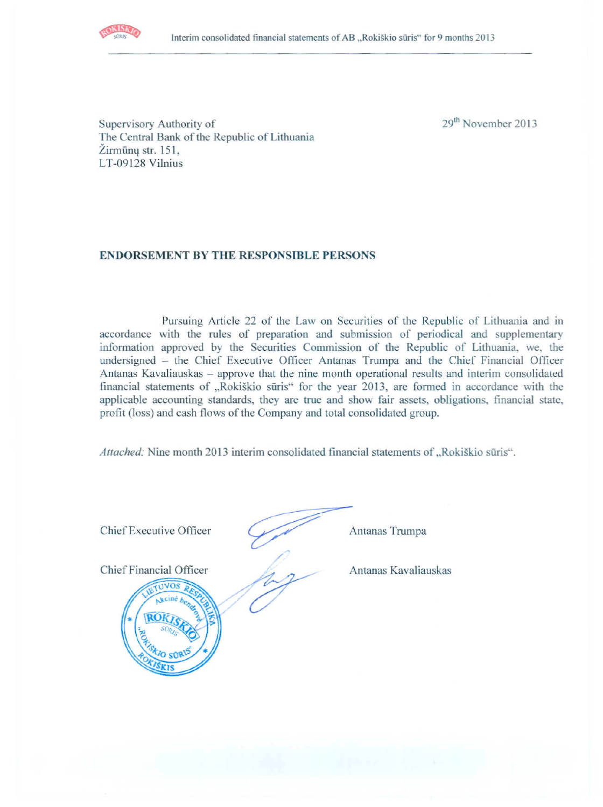

29<sup>th</sup> November 2013

Supervisory Authority of The Central Bank of the Republic of Lithuania Žirmūnų str. 151. LT-09128 Vilnius

# **ENDORSEMENT BY THE RESPONSIBLE PERSONS**

Pursuing Article 22 of the Law on Securities of the Republic of Lithuania and in accordance with the rules of preparation and submission of periodical and supplementary information approved by the Securities Commission of the Republic of Lithuania, we, the undersigned - the Chief Executive Officer Antanas Trumpa and the Chief Financial Officer Antanas Kavaliauskas – approve that the nine month operational results and interim consolidated financial statements of "Rokiškio sūris" for the year 2013, are formed in accordance with the applicable accounting standards, they are true and show fair assets, obligations, financial state, profit (loss) and cash flows of the Company and total consolidated group.

Attached: Nine month 2013 interim consolidated financial statements of "Rokiškio sūris".

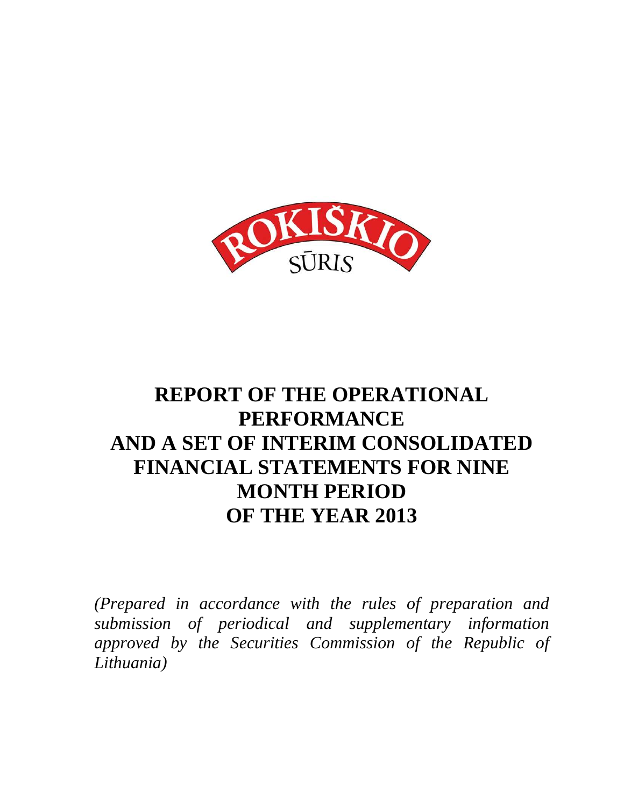

# **REPORT OF THE OPERATIONAL PERFORMANCE AND A SET OF INTERIM CONSOLIDATED FINANCIAL STATEMENTS FOR NINE MONTH PERIOD OF THE YEAR 2013**

*(Prepared in accordance with the rules of preparation and submission of periodical and supplementary information approved by the Securities Commission of the Republic of Lithuania)*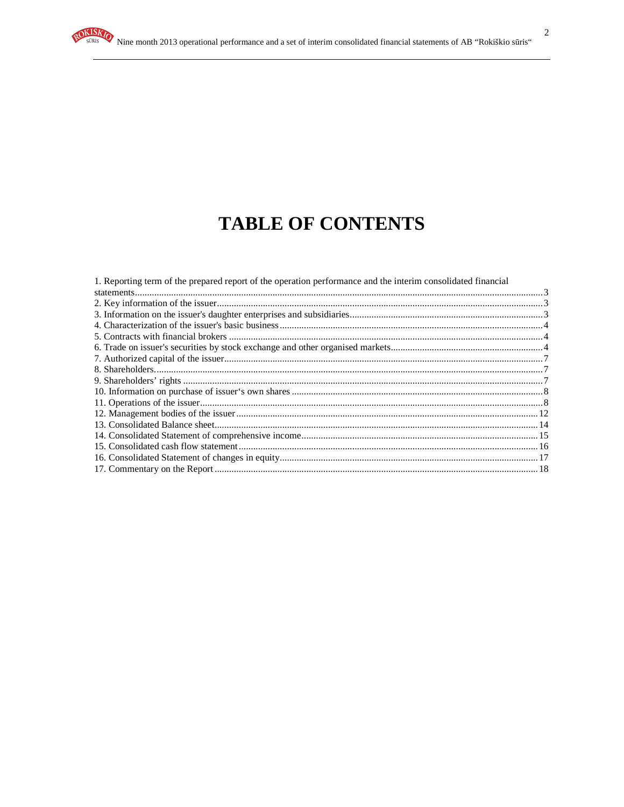# **TABLE OF CONTENTS**

| 1. Reporting term of the prepared report of the operation performance and the interim consolidated financial |  |
|--------------------------------------------------------------------------------------------------------------|--|
|                                                                                                              |  |
|                                                                                                              |  |
|                                                                                                              |  |
|                                                                                                              |  |
|                                                                                                              |  |
|                                                                                                              |  |
|                                                                                                              |  |
|                                                                                                              |  |
|                                                                                                              |  |
|                                                                                                              |  |
|                                                                                                              |  |
|                                                                                                              |  |
|                                                                                                              |  |
|                                                                                                              |  |
|                                                                                                              |  |
|                                                                                                              |  |
|                                                                                                              |  |
|                                                                                                              |  |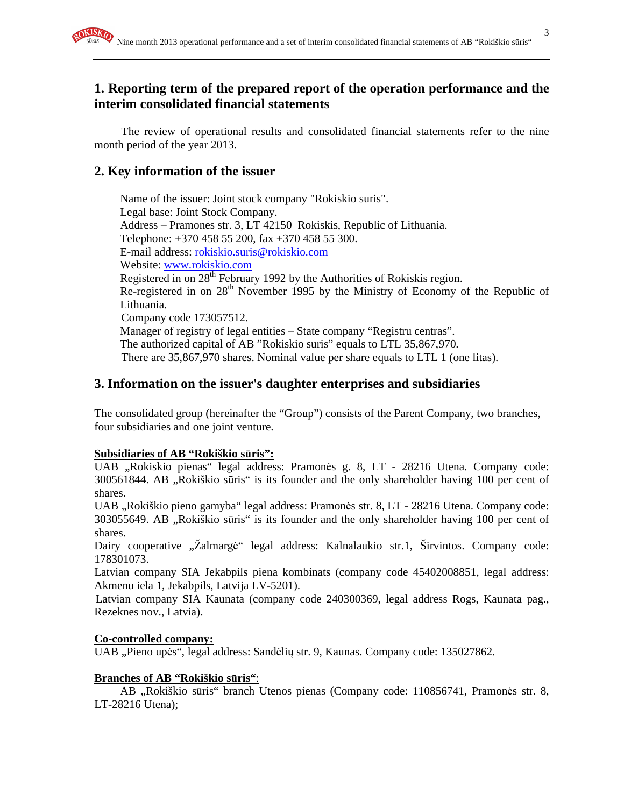# **1. Reporting term of the prepared report of the operation performance and the interim consolidated financial statements**

The review of operational results and consolidated financial statements refer to the nine month period of the year 2013.

# **2. Key information of the issuer**

Name of the issuer: Joint stock company "Rokiskio suris". Legal base: Joint Stock Company. Address – Pramones str. 3, LT 42150 Rokiskis, Republic of Lithuania. Telephone: +370 458 55 200, fax +370 458 55 300. E-mail address: rokiskio.suris@rokiskio.com Website: www.rokiskio.com Registered in on  $28<sup>th</sup>$  February 1992 by the Authorities of Rokiskis region. Re-registered in on 28<sup>th</sup> November 1995 by the Ministry of Economy of the Republic of Lithuania. Company code 173057512. Manager of registry of legal entities – State company "Registru centras". The authorized capital of AB "Rokiskio suris" equals to LTL 35,867,970. There are 35,867,970 shares. Nominal value per share equals to LTL 1 (one litas).

# **3. Information on the issuer's daughter enterprises and subsidiaries**

The consolidated group (hereinafter the "Group") consists of the Parent Company, two branches, four subsidiaries and one joint venture.

### **Subsidiaries of AB "Rokiškio s**ū**ris":**

UAB "Rokiskio pienas" legal address: Pramonės g. 8, LT - 28216 Utena. Company code: 300561844. AB "Rokiškio sūris" is its founder and the only shareholder having 100 per cent of shares.

UAB "Rokiškio pieno gamyba" legal address: Pramonės str. 8, LT - 28216 Utena. Company code: 303055649. AB "Rokiškio sūris" is its founder and the only shareholder having 100 per cent of shares.

Dairy cooperative "Žalmargė" legal address: Kalnalaukio str.1, Širvintos. Company code: 178301073.

Latvian company SIA Jekabpils piena kombinats (company code 45402008851, legal address: Akmenu iela 1, Jekabpils, Latvija LV-5201).

Latvian company SIA Kaunata (company code 240300369, legal address Rogs, Kaunata pag., Rezeknes nov., Latvia).

### **Co-controlled company:**

UAB "Pieno upės", legal address: Sandėlių str. 9, Kaunas. Company code: 135027862.

# **Branches of AB "Rokiškio s**ū**ris"**:

AB "Rokiškio sūris" branch Utenos pienas (Company code: 110856741, Pramonės str. 8, LT-28216 Utena);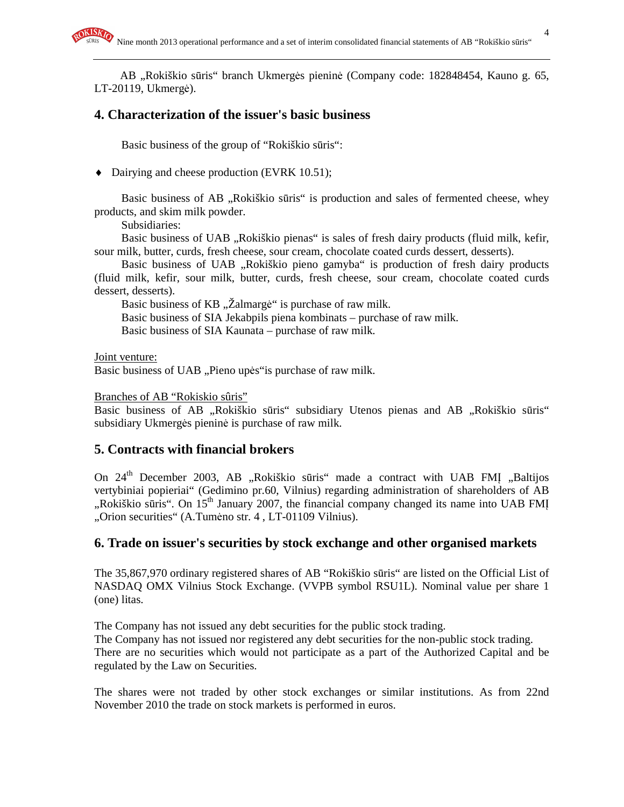AB "Rokiškio sūris" branch Ukmergės pieninė (Company code: 182848454, Kauno g. 65, LT-20119, Ukmergė).

# **4. Characterization of the issuer's basic business**

Basic business of the group of "Rokiškio sūris":

♦ Dairying and cheese production (EVRK 10.51);

Basic business of AB "Rokiškio sūris" is production and sales of fermented cheese, whey products, and skim milk powder.

Subsidiaries:

Basic business of UAB "Rokiškio pienas" is sales of fresh dairy products (fluid milk, kefir, sour milk, butter, curds, fresh cheese, sour cream, chocolate coated curds dessert, desserts).

Basic business of UAB "Rokiškio pieno gamyba" is production of fresh dairy products (fluid milk, kefir, sour milk, butter, curds, fresh cheese, sour cream, chocolate coated curds dessert, desserts).

Basic business of KB "Žalmargė" is purchase of raw milk.

Basic business of SIA Jekabpils piena kombinats – purchase of raw milk.

Basic business of SIA Kaunata – purchase of raw milk.

Joint venture:

Basic business of UAB "Pieno upės" is purchase of raw milk.

#### Branches of AB "Rokiskio sûris"

Basic business of AB "Rokiškio sūris" subsidiary Utenos pienas and AB "Rokiškio sūris" subsidiary Ukmergės pieninė is purchase of raw milk.

# **5. Contracts with financial brokers**

On  $24<sup>th</sup>$  December 2003, AB "Rokiškio sūris" made a contract with UAB FMI "Baltijos vertybiniai popieriai" (Gedimino pr.60, Vilnius) regarding administration of shareholders of AB "Rokiškio sūris". On  $15<sup>th</sup>$  January 2007, the financial company changed its name into UAB FMI "Orion securities" (A.Tumėno str. 4 , LT-01109 Vilnius).

# **6. Trade on issuer's securities by stock exchange and other organised markets**

The 35,867,970 ordinary registered shares of AB "Rokiškio sūris" are listed on the Official List of NASDAQ OMX Vilnius Stock Exchange. (VVPB symbol RSU1L). Nominal value per share 1 (one) litas.

The Company has not issued any debt securities for the public stock trading.

The Company has not issued nor registered any debt securities for the non-public stock trading. There are no securities which would not participate as a part of the Authorized Capital and be regulated by the Law on Securities.

The shares were not traded by other stock exchanges or similar institutions. As from 22nd November 2010 the trade on stock markets is performed in euros.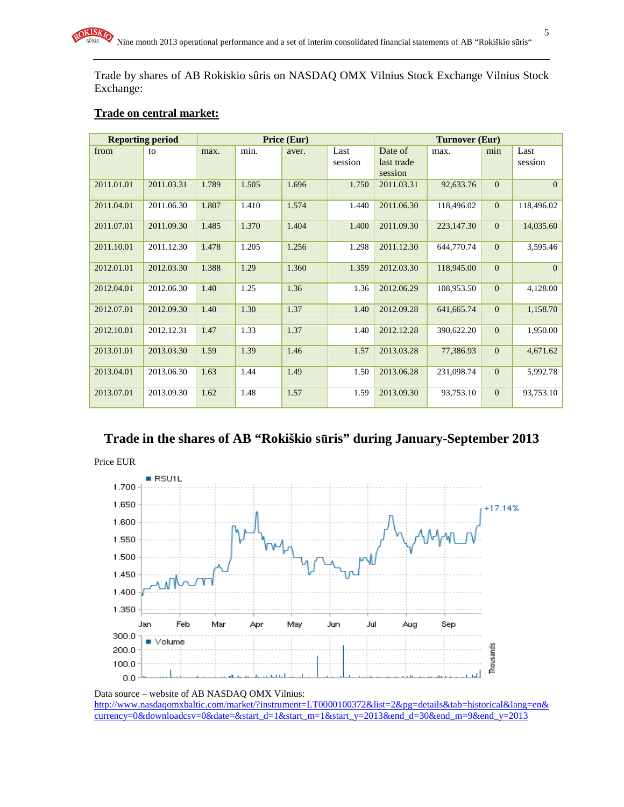Trade by shares of AB Rokiskio sûris on NASDAQ OMX Vilnius Stock Exchange Vilnius Stock Exchange:

### **Trade on central market:**

| <b>Reporting period</b> |            | Price (Eur) |       |       |         | Turnover (Eur) |            |                |            |
|-------------------------|------------|-------------|-------|-------|---------|----------------|------------|----------------|------------|
| from                    | to         | max.        | min.  | aver. | Last    | Date of        | max.       | min            | Last       |
|                         |            |             |       |       | session | last trade     |            |                | session    |
|                         |            |             |       |       |         | session        |            |                |            |
| 2011.01.01              | 2011.03.31 | 1.789       | 1.505 | 1.696 | 1.750   | 2011.03.31     | 92,633.76  | $\overline{0}$ | $\Omega$   |
| 2011.04.01              | 2011.06.30 | 1.807       | 1.410 | 1.574 | 1.440   | 2011.06.30     | 118,496.02 | $\mathbf{0}$   | 118,496.02 |
| 2011.07.01              | 2011.09.30 | 1.485       | 1.370 | 1.404 | 1.400   | 2011.09.30     | 223,147.30 | $\Omega$       | 14,035.60  |
| 2011.10.01              | 2011.12.30 | 1.478       | 1.205 | 1.256 | 1.298   | 2011.12.30     | 644,770.74 | $\mathbf{0}$   | 3,595.46   |
| 2012.01.01              | 2012.03.30 | 1.388       | 1.29  | 1.360 | 1.359   | 2012.03.30     | 118,945.00 | $\mathbf{0}$   | $\Omega$   |
| 2012.04.01              | 2012.06.30 | 1.40        | 1.25  | 1.36  | 1.36    | 2012.06.29     | 108,953.50 | $\Omega$       | 4,128.00   |
| 2012.07.01              | 2012.09.30 | 1.40        | 1.30  | 1.37  | 1.40    | 2012.09.28     | 641,665.74 | $\Omega$       | 1,158.70   |
| 2012.10.01              | 2012.12.31 | 1.47        | 1.33  | 1.37  | 1.40    | 2012.12.28     | 390,622.20 | $\Omega$       | 1,950.00   |
| 2013.01.01              | 2013.03.30 | 1.59        | 1.39  | 1.46  | 1.57    | 2013.03.28     | 77,386.93  | $\mathbf{0}$   | 4,671.62   |
| 2013.04.01              | 2013.06.30 | 1.63        | 1.44  | 1.49  | 1.50    | 2013.06.28     | 231,098.74 | $\mathbf{0}$   | 5,992.78   |
| 2013.07.01              | 2013.09.30 | 1.62        | 1.48  | 1.57  | 1.59    | 2013.09.30     | 93,753.10  | $\Omega$       | 93,753.10  |

# **Trade in the shares of AB "Rokiškio s**ū**ris" during January-September 2013**



Data source – website of AB NASDAQ OMX Vilnius: http://www.nasdaqomxbaltic.com/market/?instrument=LT0000100372&list=2&pg=details&tab=historical&lang=en& currency=0&downloadcsv=0&date=&start\_d=1&start\_m=1&start\_y=2013&end\_d=30&end\_m=9&end\_y=2013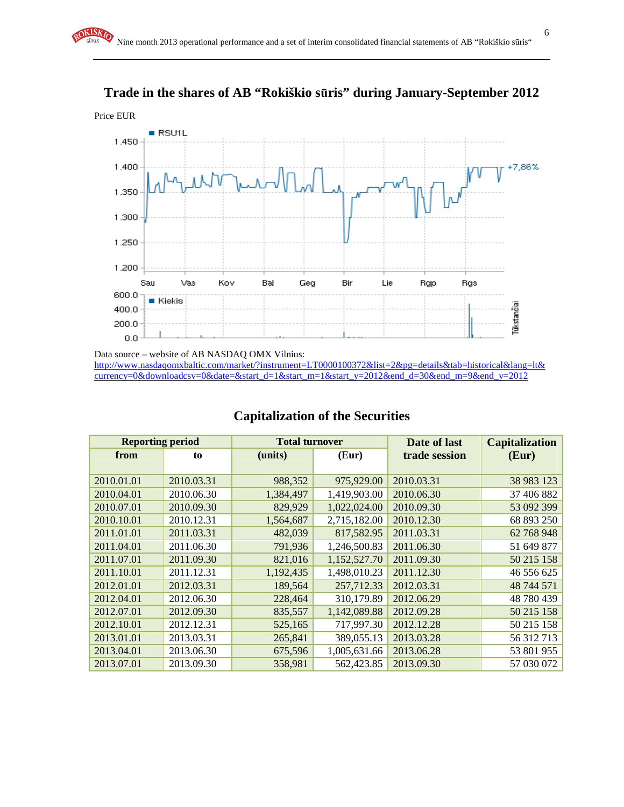

# **Trade in the shares of AB "Rokiškio s**ū**ris" during January-September 2012**

Data source – website of AB NASDAQ OMX Vilnius: http://www.nasdaqomxbaltic.com/market/?instrument=LT0000100372&list=2&pg=details&tab=historical&lang=lt& currency=0&downloadcsv=0&date=&start\_d=1&start\_m=1&start\_y=2012&end\_d=30&end\_m=9&end\_y=2012

| <b>Reporting period</b> |            | <b>Total turnover</b> |              | Date of last  | <b>Capitalization</b> |
|-------------------------|------------|-----------------------|--------------|---------------|-----------------------|
| from                    | to         | (units)               | (Eur)        | trade session | (Eur)                 |
|                         |            |                       |              |               |                       |
| 2010.01.01              | 2010.03.31 | 988,352               | 975,929.00   | 2010.03.31    | 38 983 123            |
| 2010.04.01              | 2010.06.30 | 1,384,497             | 1,419,903.00 | 2010.06.30    | 37 406 882            |
| 2010.07.01              | 2010.09.30 | 829,929               | 1,022,024.00 | 2010.09.30    | 53 092 399            |
| 2010.10.01              | 2010.12.31 | 1,564,687             | 2,715,182.00 | 2010.12.30    | 68 893 250            |
| 2011.01.01              | 2011.03.31 | 482,039               | 817,582.95   | 2011.03.31    | 62 768 948            |
| 2011.04.01              | 2011.06.30 | 791,936               | 1,246,500.83 | 2011.06.30    | 51 649 877            |
| 2011.07.01              | 2011.09.30 | 821,016               | 1,152,527.70 | 2011.09.30    | 50 215 158            |
| 2011.10.01              | 2011.12.31 | 1,192,435             | 1,498,010.23 | 2011.12.30    | 46 556 625            |
| 2012.01.01              | 2012.03.31 | 189,564               | 257,712.33   | 2012.03.31    | 48 744 571            |
| 2012.04.01              | 2012.06.30 | 228,464               | 310,179.89   | 2012.06.29    | 48 780 439            |
| 2012.07.01              | 2012.09.30 | 835,557               | 1,142,089.88 | 2012.09.28    | 50 215 158            |
| 2012.10.01              | 2012.12.31 | 525,165               | 717,997.30   | 2012.12.28    | 50 215 158            |
| 2013.01.01              | 2013.03.31 | 265,841               | 389,055.13   | 2013.03.28    | 56 312 713            |
| 2013.04.01              | 2013.06.30 | 675,596               | 1,005,631.66 | 2013.06.28    | 53 801 955            |
| 2013.07.01              | 2013.09.30 | 358,981               | 562,423.85   | 2013.09.30    | 57 030 072            |

# **Capitalization of the Securities**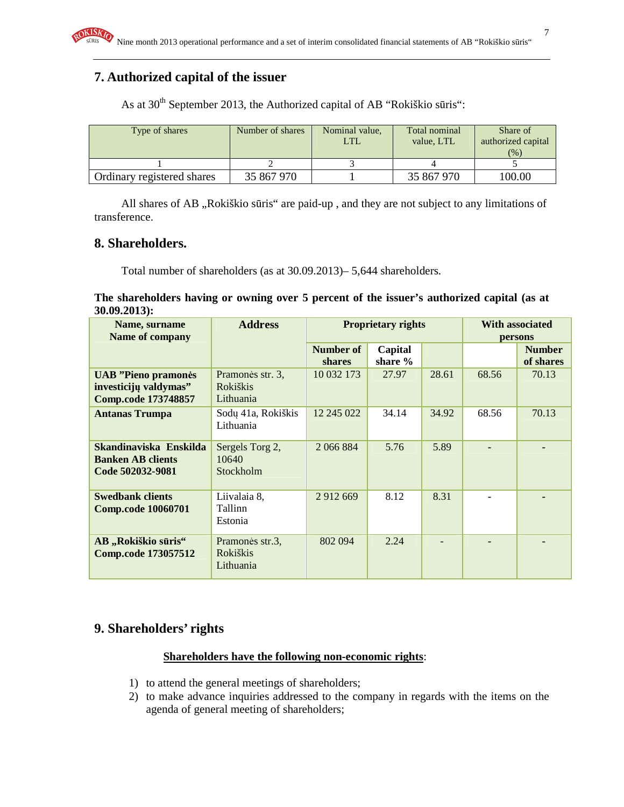# **7. Authorized capital of the issuer**

As at 30<sup>th</sup> September 2013, the Authorized capital of AB "Rokiškio sūris":

| Type of shares             | Number of shares | Nominal value,<br>LTL | Total nominal<br>value. LTL | Share of<br>authorized capital<br>(% ) |
|----------------------------|------------------|-----------------------|-----------------------------|----------------------------------------|
|                            |                  |                       |                             |                                        |
| Ordinary registered shares | 35 867 970       |                       | 35 867 970                  | 100.00                                 |

All shares of AB "Rokiškio sūris" are paid-up, and they are not subject to any limitations of transference.

# **8. Shareholders.**

Total number of shareholders (as at 30.09.2013)– 5,644 shareholders.

#### **The shareholders having or owning over 5 percent of the issuer's authorized capital (as at 30.09.2013):**

| Name, surname<br><b>Name of company</b>                                            | <b>Address</b>                                   |                            | <b>Proprietary rights</b> |       | <b>With associated</b><br>persons |                            |
|------------------------------------------------------------------------------------|--------------------------------------------------|----------------------------|---------------------------|-------|-----------------------------------|----------------------------|
|                                                                                    |                                                  | Number of<br><b>shares</b> | Capital<br>share %        |       |                                   | <b>Number</b><br>of shares |
| <b>UAB</b> "Pieno pramonės"<br>investicijų valdymas"<br><b>Comp.code 173748857</b> | Pramonės str. 3.<br><b>Rokiškis</b><br>Lithuania | 10 032 173                 | 27.97                     | 28.61 | 68.56                             | 70.13                      |
| <b>Antanas Trumpa</b>                                                              | Sodų 41a, Rokiškis<br>Lithuania                  | 12 245 022                 | 34.14                     | 34.92 | 68.56                             | 70.13                      |
| Skandinaviska Enskilda<br><b>Banken AB clients</b><br>Code 502032-9081             | Sergels Torg 2,<br>10640<br>Stockholm            | 2 066 884                  | 5.76                      | 5.89  |                                   |                            |
| <b>Swedbank clients</b><br><b>Comp.code 10060701</b>                               | Liivalaia 8,<br>Tallinn<br>Estonia               | 2 9 1 2 6 6 9              | 8.12                      | 8.31  | ۰                                 |                            |
| AB "Rokiškio sūris"<br><b>Comp.code 173057512</b>                                  | Pramonės str.3,<br><b>Rokiškis</b><br>Lithuania  | 802 094                    | 2.24                      |       | $\blacksquare$                    |                            |

# **9. Shareholders' rights**

#### **Shareholders have the following non-economic rights**:

- 1) to attend the general meetings of shareholders;
- 2) to make advance inquiries addressed to the company in regards with the items on the agenda of general meeting of shareholders;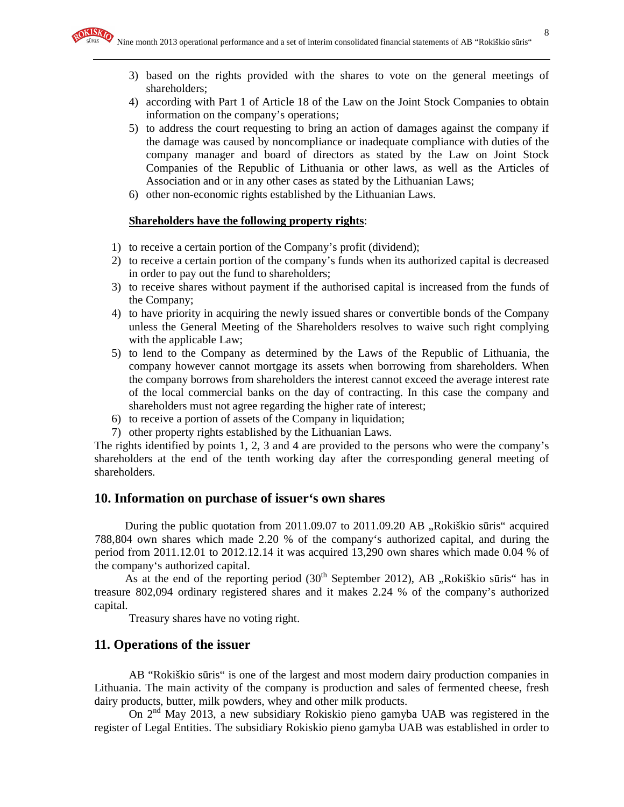- 3) based on the rights provided with the shares to vote on the general meetings of shareholders;
- 4) according with Part 1 of Article 18 of the Law on the Joint Stock Companies to obtain information on the company's operations;
- 5) to address the court requesting to bring an action of damages against the company if the damage was caused by noncompliance or inadequate compliance with duties of the company manager and board of directors as stated by the Law on Joint Stock Companies of the Republic of Lithuania or other laws, as well as the Articles of Association and or in any other cases as stated by the Lithuanian Laws;
- 6) other non-economic rights established by the Lithuanian Laws.

#### **Shareholders have the following property rights**:

- 1) to receive a certain portion of the Company's profit (dividend);
- 2) to receive a certain portion of the company's funds when its authorized capital is decreased in order to pay out the fund to shareholders;
- 3) to receive shares without payment if the authorised capital is increased from the funds of the Company;
- 4) to have priority in acquiring the newly issued shares or convertible bonds of the Company unless the General Meeting of the Shareholders resolves to waive such right complying with the applicable Law;
- 5) to lend to the Company as determined by the Laws of the Republic of Lithuania, the company however cannot mortgage its assets when borrowing from shareholders. When the company borrows from shareholders the interest cannot exceed the average interest rate of the local commercial banks on the day of contracting. In this case the company and shareholders must not agree regarding the higher rate of interest;
- 6) to receive a portion of assets of the Company in liquidation;
- 7) other property rights established by the Lithuanian Laws.

The rights identified by points 1, 2, 3 and 4 are provided to the persons who were the company's shareholders at the end of the tenth working day after the corresponding general meeting of shareholders.

### **10. Information on purchase of issuer's own shares**

During the public quotation from  $2011.09.07$  to  $2011.09.20$  AB  $,$ Rokiškio sūris" acquired 788,804 own shares which made 2.20 % of the company's authorized capital, and during the period from 2011.12.01 to 2012.12.14 it was acquired 13,290 own shares which made 0.04 % of the company's authorized capital.

As at the end of the reporting period  $(30<sup>th</sup>$  September 2012), AB "Rokiškio sūris" has in treasure 802,094 ordinary registered shares and it makes 2.24 % of the company's authorized capital.

Treasury shares have no voting right.

#### **11. Operations of the issuer**

AB "Rokiškio sūris" is one of the largest and most modern dairy production companies in Lithuania. The main activity of the company is production and sales of fermented cheese, fresh dairy products, butter, milk powders, whey and other milk products.

On 2nd May 2013, a new subsidiary Rokiskio pieno gamyba UAB was registered in the register of Legal Entities. The subsidiary Rokiskio pieno gamyba UAB was established in order to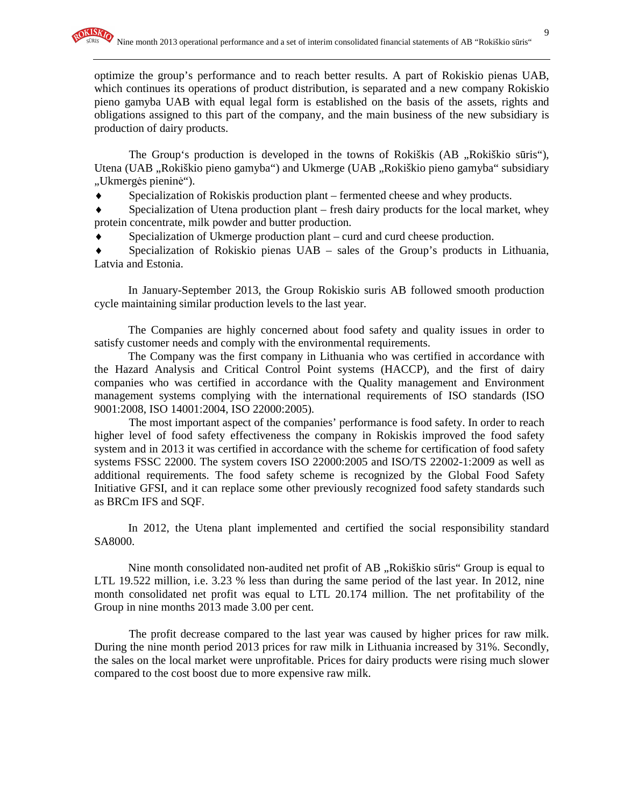optimize the group's performance and to reach better results. A part of Rokiskio pienas UAB, which continues its operations of product distribution, is separated and a new company Rokiskio pieno gamyba UAB with equal legal form is established on the basis of the assets, rights and obligations assigned to this part of the company, and the main business of the new subsidiary is production of dairy products.

The Group's production is developed in the towns of Rokiškis (AB "Rokiškio sūris"), Utena (UAB "Rokiškio pieno gamyba") and Ukmerge (UAB "Rokiškio pieno gamyba" subsidiary "Ukmergės pieninė").

Specialization of Rokiskis production plant – fermented cheese and whey products.

 $\bullet$  Specialization of Utena production plant – fresh dairy products for the local market, whey protein concentrate, milk powder and butter production.

Specialization of Ukmerge production plant – curd and curd cheese production.

Specialization of Rokiskio pienas  $UAB -$  sales of the Group's products in Lithuania, Latvia and Estonia.

In January-September 2013, the Group Rokiskio suris AB followed smooth production cycle maintaining similar production levels to the last year.

The Companies are highly concerned about food safety and quality issues in order to satisfy customer needs and comply with the environmental requirements.

The Company was the first company in Lithuania who was certified in accordance with the Hazard Analysis and Critical Control Point systems (HACCP), and the first of dairy companies who was certified in accordance with the Quality management and Environment management systems complying with the international requirements of ISO standards (ISO 9001:2008, ISO 14001:2004, ISO 22000:2005).

The most important aspect of the companies' performance is food safety. In order to reach higher level of food safety effectiveness the company in Rokiskis improved the food safety system and in 2013 it was certified in accordance with the scheme for certification of food safety systems FSSC 22000. The system covers ISO 22000:2005 and ISO/TS 22002-1:2009 as well as additional requirements. The food safety scheme is recognized by the Global Food Safety Initiative GFSI, and it can replace some other previously recognized food safety standards such as BRCm IFS and SQF.

In 2012, the Utena plant implemented and certified the social responsibility standard SA8000.

Nine month consolidated non-audited net profit of AB "Rokiškio sūris" Group is equal to LTL 19.522 million, i.e. 3.23 % less than during the same period of the last year. In 2012, nine month consolidated net profit was equal to LTL 20.174 million. The net profitability of the Group in nine months 2013 made 3.00 per cent.

The profit decrease compared to the last year was caused by higher prices for raw milk. During the nine month period 2013 prices for raw milk in Lithuania increased by 31%. Secondly, the sales on the local market were unprofitable. Prices for dairy products were rising much slower compared to the cost boost due to more expensive raw milk.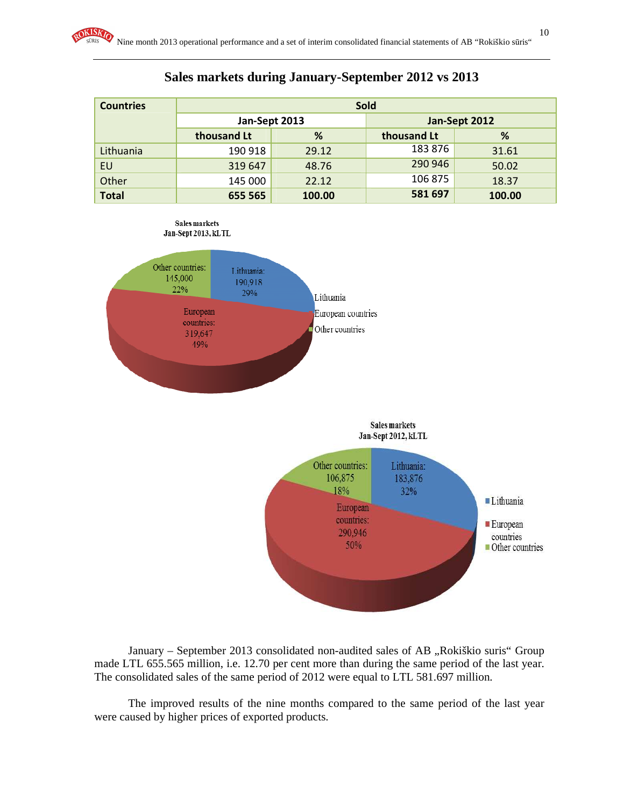| <b>Sold</b><br><b>Countries</b> |               |        |             |               |  |  |
|---------------------------------|---------------|--------|-------------|---------------|--|--|
|                                 | Jan-Sept 2013 |        |             | Jan-Sept 2012 |  |  |
|                                 | thousand Lt   | %      | thousand Lt | %             |  |  |
| Lithuania                       | 190 918       | 29.12  | 183876      | 31.61         |  |  |
| EU                              | 319 647       | 48.76  | 290 946     | 50.02         |  |  |
| Other                           | 145 000       | 22.12  | 106 875     | 18.37         |  |  |
| <b>Total</b>                    | 655 565       | 100.00 | 581 697     | 100.00        |  |  |









January – September 2013 consolidated non-audited sales of AB "Rokiškio suris" Group made LTL 655.565 million, i.e. 12.70 per cent more than during the same period of the last year. The consolidated sales of the same period of 2012 were equal to LTL 581.697 million.

The improved results of the nine months compared to the same period of the last year were caused by higher prices of exported products.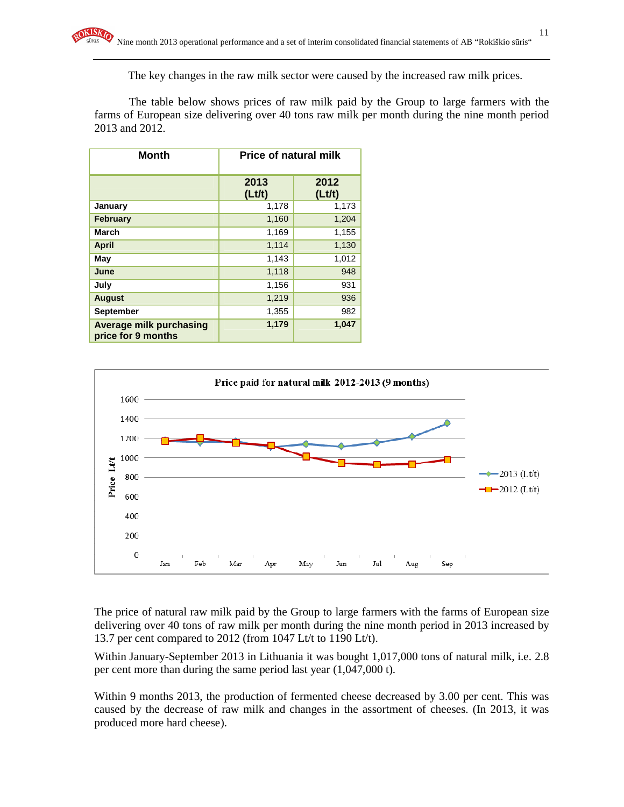The key changes in the raw milk sector were caused by the increased raw milk prices.

The table below shows prices of raw milk paid by the Group to large farmers with the farms of European size delivering over 40 tons raw milk per month during the nine month period 2013 and 2012.

| <b>Month</b>                                         | <b>Price of natural milk</b> |                |  |  |
|------------------------------------------------------|------------------------------|----------------|--|--|
|                                                      | 2013<br>(Lt/t)               | 2012<br>(Lt/t) |  |  |
| January                                              | 1,178                        | 1,173          |  |  |
| <b>February</b>                                      | 1,160                        | 1,204          |  |  |
| March                                                | 1,169                        | 1,155          |  |  |
| <b>April</b>                                         | 1,114                        | 1,130          |  |  |
| May                                                  | 1,143                        | 1,012          |  |  |
| June                                                 | 1,118                        | 948            |  |  |
| July                                                 | 1,156                        | 931            |  |  |
| <b>August</b>                                        | 1,219                        | 936            |  |  |
| <b>September</b>                                     | 1,355                        | 982            |  |  |
| <b>Average milk purchasing</b><br>price for 9 months | 1,179                        | 1,047          |  |  |



The price of natural raw milk paid by the Group to large farmers with the farms of European size delivering over 40 tons of raw milk per month during the nine month period in 2013 increased by 13.7 per cent compared to 2012 (from 1047 Lt/t to 1190 Lt/t).

Within January-September 2013 in Lithuania it was bought 1,017,000 tons of natural milk, i.e. 2.8 per cent more than during the same period last year (1,047,000 t).

Within 9 months 2013, the production of fermented cheese decreased by 3.00 per cent. This was caused by the decrease of raw milk and changes in the assortment of cheeses. (In 2013, it was produced more hard cheese).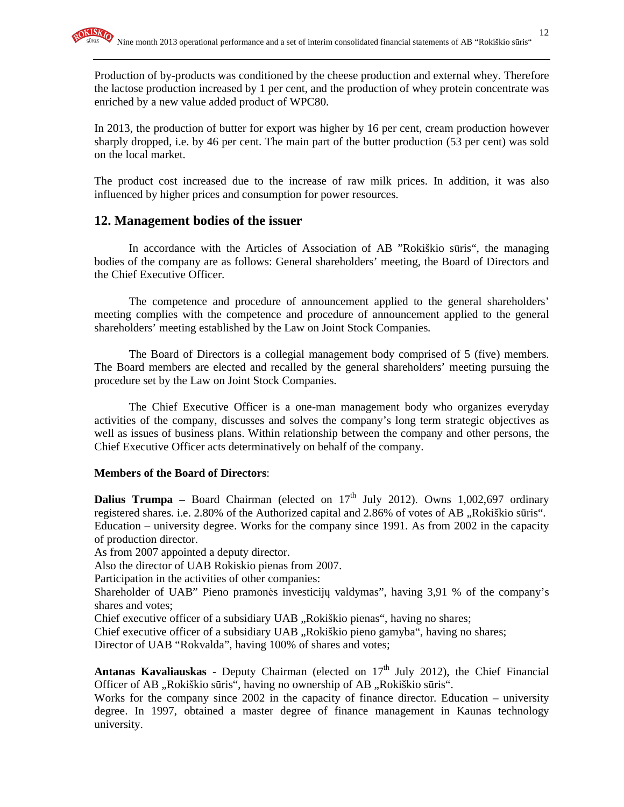Production of by-products was conditioned by the cheese production and external whey. Therefore the lactose production increased by 1 per cent, and the production of whey protein concentrate was enriched by a new value added product of WPC80.

In 2013, the production of butter for export was higher by 16 per cent, cream production however sharply dropped, i.e. by 46 per cent. The main part of the butter production (53 per cent) was sold on the local market.

The product cost increased due to the increase of raw milk prices. In addition, it was also influenced by higher prices and consumption for power resources.

#### **12. Management bodies of the issuer**

In accordance with the Articles of Association of AB "Rokiškio sūris", the managing bodies of the company are as follows: General shareholders' meeting, the Board of Directors and the Chief Executive Officer.

The competence and procedure of announcement applied to the general shareholders' meeting complies with the competence and procedure of announcement applied to the general shareholders' meeting established by the Law on Joint Stock Companies.

The Board of Directors is a collegial management body comprised of 5 (five) members. The Board members are elected and recalled by the general shareholders' meeting pursuing the procedure set by the Law on Joint Stock Companies.

The Chief Executive Officer is a one-man management body who organizes everyday activities of the company, discusses and solves the company's long term strategic objectives as well as issues of business plans. Within relationship between the company and other persons, the Chief Executive Officer acts determinatively on behalf of the company.

#### **Members of the Board of Directors**:

**Dalius Trumpa** – Board Chairman (elected on 17<sup>th</sup> July 2012). Owns 1,002,697 ordinary registered shares. i.e. 2.80% of the Authorized capital and 2.86% of votes of AB "Rokiškio sūris". Education – university degree. Works for the company since 1991. As from 2002 in the capacity of production director.

As from 2007 appointed a deputy director.

Also the director of UAB Rokiskio pienas from 2007.

Participation in the activities of other companies:

Shareholder of UAB" Pieno pramonės investicijų valdymas", having 3,91 % of the company's shares and votes;

Chief executive officer of a subsidiary UAB "Rokiškio pienas", having no shares;

Chief executive officer of a subsidiary UAB "Rokiškio pieno gamyba", having no shares;

Director of UAB "Rokvalda", having 100% of shares and votes;

Antanas Kavaliauskas - Deputy Chairman (elected on 17<sup>th</sup> July 2012), the Chief Financial Officer of AB "Rokiškio sūris", having no ownership of AB "Rokiškio sūris".

Works for the company since 2002 in the capacity of finance director. Education – university degree. In 1997, obtained a master degree of finance management in Kaunas technology university.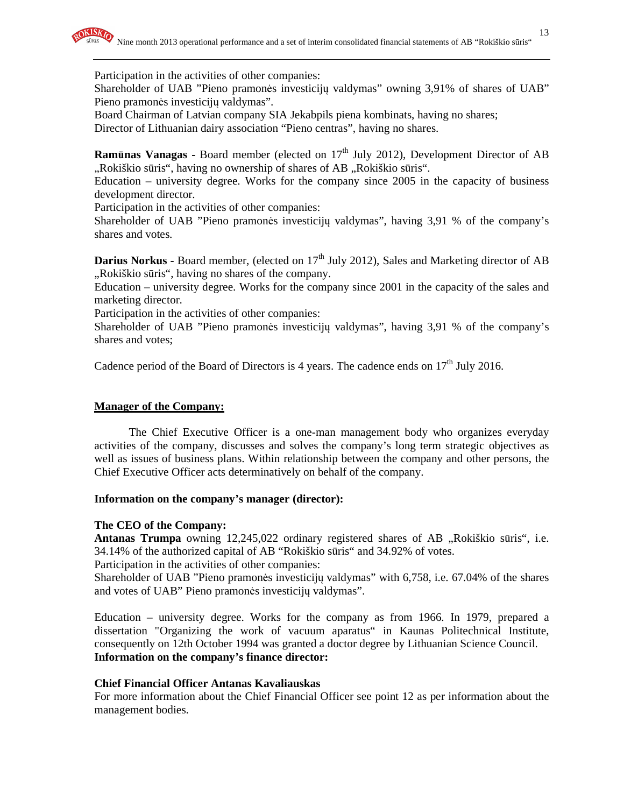Participation in the activities of other companies:

Shareholder of UAB "Pieno pramonės investicijų valdymas" owning 3,91% of shares of UAB" Pieno pramonės investicijų valdymas".

Board Chairman of Latvian company SIA Jekabpils piena kombinats, having no shares; Director of Lithuanian dairy association "Pieno centras", having no shares.

**Ramūnas Vanagas -** Board member (elected on 17<sup>th</sup> July 2012), Development Director of AB "Rokiškio sūris", having no ownership of shares of AB "Rokiškio sūris".

Education – university degree. Works for the company since 2005 in the capacity of business development director.

Participation in the activities of other companies:

Shareholder of UAB "Pieno pramonės investicijų valdymas", having 3,91 % of the company's shares and votes.

**Darius Norkus - Board member, (elected on 17<sup>th</sup> July 2012), Sales and Marketing director of AB** "Rokiškio sūris", having no shares of the company.

Education – university degree. Works for the company since 2001 in the capacity of the sales and marketing director.

Participation in the activities of other companies:

Shareholder of UAB "Pieno pramonės investicijų valdymas", having 3,91 % of the company's shares and votes;

Cadence period of the Board of Directors is 4 years. The cadence ends on  $17<sup>th</sup>$  July 2016.

#### **Manager of the Company:**

The Chief Executive Officer is a one-man management body who organizes everyday activities of the company, discusses and solves the company's long term strategic objectives as well as issues of business plans. Within relationship between the company and other persons, the Chief Executive Officer acts determinatively on behalf of the company.

#### **Information on the company's manager (director):**

#### **The CEO of the Company:**

Antanas Trumpa owning 12,245,022 ordinary registered shares of AB "Rokiškio sūris", i.e. 34.14% of the authorized capital of AB "Rokiškio sūris" and 34.92% of votes.

Participation in the activities of other companies:

Shareholder of UAB "Pieno pramonės investicijų valdymas" with 6,758, i.e. 67.04% of the shares and votes of UAB" Pieno pramonės investicijų valdymas".

Education – university degree. Works for the company as from 1966. In 1979, prepared a dissertation "Organizing the work of vacuum aparatus" in Kaunas Politechnical Institute, consequently on 12th October 1994 was granted a doctor degree by Lithuanian Science Council. **Information on the company's finance director:** 

#### **Chief Financial Officer Antanas Kavaliauskas**

For more information about the Chief Financial Officer see point 12 as per information about the management bodies.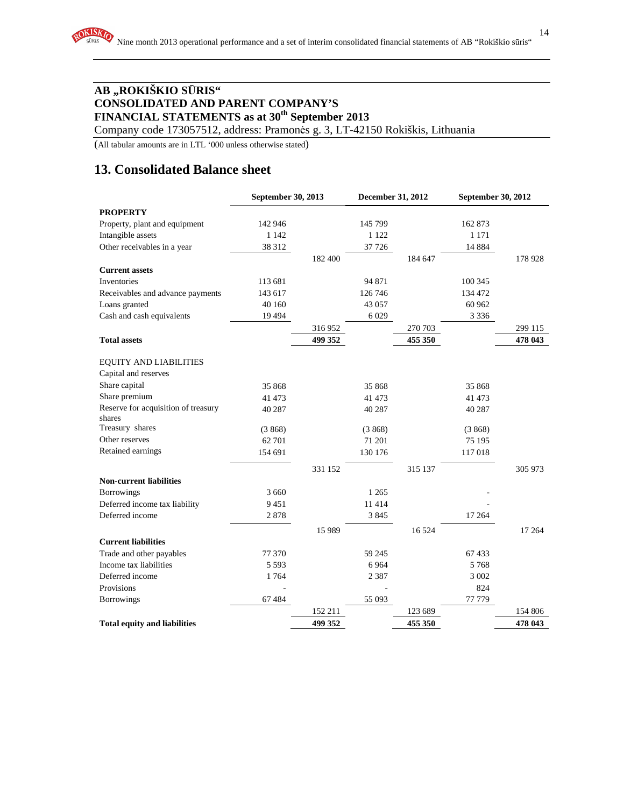Company code 173057512, address: Pramonės g. 3, LT-42150 Rokiškis, Lithuania

(All tabular amounts are in LTL '000 unless otherwise stated)

# **13. Consolidated Balance sheet**

|                                     | September 30, 2013 |         | December 31, 2012 |         | September 30, 2012 |         |
|-------------------------------------|--------------------|---------|-------------------|---------|--------------------|---------|
| <b>PROPERTY</b>                     |                    |         |                   |         |                    |         |
| Property, plant and equipment       | 142 946            |         | 145 799           |         | 162 873            |         |
| Intangible assets                   | 1 1 4 2            |         | 1 1 2 2           |         | 1 1 7 1            |         |
| Other receivables in a year         | 38 312             |         | 37 726            |         | 14 8 8 4           |         |
|                                     |                    | 182 400 |                   | 184 647 |                    | 178 928 |
| <b>Current assets</b>               |                    |         |                   |         |                    |         |
| Inventories                         | 113 681            |         | 94 871            |         | 100 345            |         |
| Receivables and advance payments    | 143 617            |         | 126 746           |         | 134 472            |         |
| Loans granted                       | 40 160             |         | 43 057            |         | 60 962             |         |
| Cash and cash equivalents           | 19494              |         | 6 0 29            |         | 3 3 3 6            |         |
|                                     |                    | 316952  |                   | 270 703 |                    | 299 115 |
| <b>Total assets</b>                 |                    | 499 352 |                   | 455 350 |                    | 478 043 |
| <b>EQUITY AND LIABILITIES</b>       |                    |         |                   |         |                    |         |
| Capital and reserves                |                    |         |                   |         |                    |         |
| Share capital                       | 35 868             |         | 35 868            |         | 35 868             |         |
| Share premium                       | 41 473             |         | 41 473            |         | 41 473             |         |
| Reserve for acquisition of treasury | 40 287             |         | 40 287            |         | 40 287             |         |
| shares                              |                    |         |                   |         |                    |         |
| Treasury shares                     | (3868)             |         | (3868)            |         | (3868)             |         |
| Other reserves                      | 62 701             |         | 71 201            |         | 75 195             |         |
| Retained earnings                   | 154 691            |         | 130 176           |         | 117018             |         |
|                                     |                    | 331 152 |                   | 315 137 |                    | 305 973 |
| <b>Non-current liabilities</b>      |                    |         |                   |         |                    |         |
| Borrowings                          | 3 6 6 0            |         | 1 2 6 5           |         |                    |         |
| Deferred income tax liability       | 9451               |         | 11 4 14           |         |                    |         |
| Deferred income                     | 2878               |         | 3845              |         | 17 264             |         |
|                                     |                    | 15 9 89 |                   | 16524   |                    | 17 264  |
| <b>Current liabilities</b>          |                    |         |                   |         |                    |         |
| Trade and other payables            | 77 370             |         | 59 245            |         | 67433              |         |
| Income tax liabilities              | 5 5 9 3            |         | 6 9 6 4           |         | 5768               |         |
| Deferred income                     | 1764               |         | 2 3 8 7           |         | 3 002              |         |
| Provisions                          |                    |         |                   |         | 824                |         |
| <b>Borrowings</b>                   | 67484              |         | 55 093            |         | 77 779             |         |
|                                     |                    | 152 211 |                   | 123 689 |                    | 154 806 |
| <b>Total equity and liabilities</b> |                    | 499 352 |                   | 455 350 |                    | 478 043 |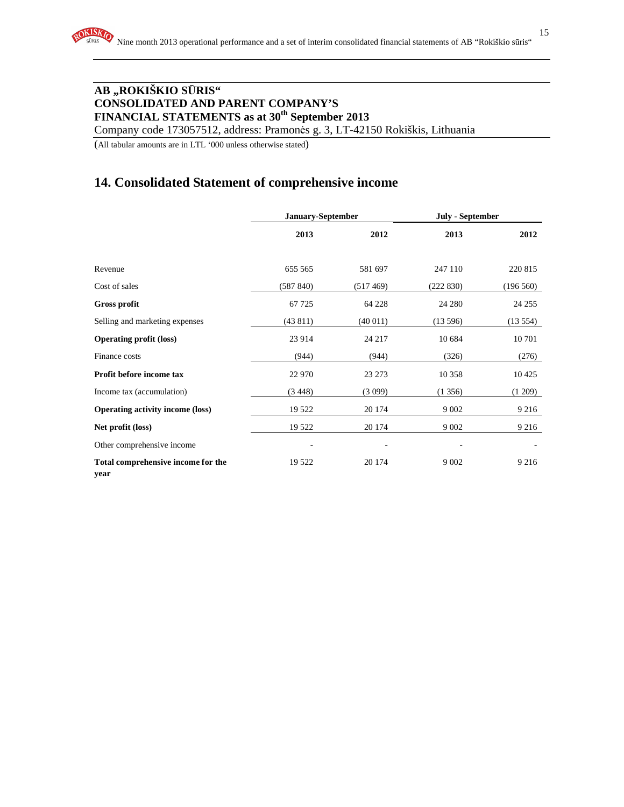Company code 173057512, address: Pramonės g. 3, LT-42150 Rokiškis, Lithuania

(All tabular amounts are in LTL '000 unless otherwise stated)

# **14. Consolidated Statement of comprehensive income**

|                                            | January-September |          | <b>July - September</b> |           |
|--------------------------------------------|-------------------|----------|-------------------------|-----------|
|                                            | 2013              | 2012     | 2013                    | 2012      |
| Revenue                                    | 655 565           | 581 697  | 247 110                 | 220 815   |
| Cost of sales                              | (587 840)         | (517469) | (222 830)               | (196 560) |
| <b>Gross profit</b>                        | 67 7 25           | 64 228   | 24 280                  | 24 255    |
| Selling and marketing expenses             | (43811)           | (40011)  | (13596)                 | (13554)   |
| <b>Operating profit (loss)</b>             | 23 9 14           | 24 217   | 10 684                  | 10 701    |
| Finance costs                              | (944)             | (944)    | (326)                   | (276)     |
| Profit before income tax                   | 22 970            | 23 273   | 10 358                  | 10425     |
| Income tax (accumulation)                  | (3448)            | (3099)   | (1356)                  | (1 209)   |
| <b>Operating activity income (loss)</b>    | 19 5 22           | 20 174   | 9 0 0 2                 | 9 2 1 6   |
| Net profit (loss)                          | 19 5 22           | 20 174   | 9 0 0 2                 | 9 2 1 6   |
| Other comprehensive income                 |                   |          |                         |           |
| Total comprehensive income for the<br>vear | 19 5 22           | 20 174   | 9 0 0 2                 | 9 2 1 6   |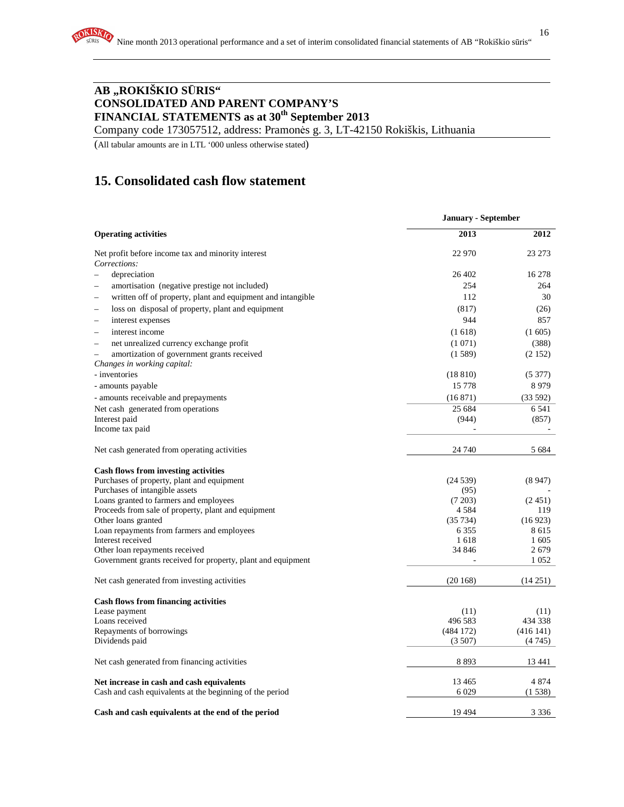Company code 173057512, address: Pramonės g. 3, LT-42150 Rokiškis, Lithuania

(All tabular amounts are in LTL '000 unless otherwise stated)

# **15. Consolidated cash flow statement**

|                                                                                         | <b>January - September</b> |                 |
|-----------------------------------------------------------------------------------------|----------------------------|-----------------|
| <b>Operating activities</b>                                                             | 2013                       | 2012            |
| Net profit before income tax and minority interest                                      | 22 970                     | 23 273          |
| Corrections:                                                                            |                            |                 |
| depreciation<br>$\equiv$                                                                | 26 402                     | 16 278          |
| amortisation (negative prestige not included)                                           | 254                        | 264             |
| written off of property, plant and equipment and intangible<br>$\overline{\phantom{a}}$ | 112                        | 30              |
| loss on disposal of property, plant and equipment                                       | (817)                      | (26)            |
| interest expenses<br>$\overline{\phantom{0}}$                                           | 944                        | 857             |
| interest income<br>$\overline{\phantom{a}}$                                             | (1618)                     | (1605)          |
| net unrealized currency exchange profit                                                 | (1071)                     | (388)           |
| amortization of government grants received                                              | (1589)                     | (2152)          |
| Changes in working capital:                                                             |                            |                 |
| - inventories                                                                           | (18810)                    | (5377)          |
| - amounts payable                                                                       | 15 7 7 8                   | 8979            |
| - amounts receivable and prepayments                                                    | (16871)                    | (33592)         |
| Net cash generated from operations                                                      | 25 684                     | 6 5 4 1         |
| Interest paid                                                                           | (944)                      | (857)           |
| Income tax paid                                                                         |                            |                 |
| Net cash generated from operating activities                                            | 24 740                     | 5 6 8 4         |
| Cash flows from investing activities                                                    |                            |                 |
| Purchases of property, plant and equipment                                              | (24539)                    | (8947)          |
| Purchases of intangible assets                                                          | (95)                       |                 |
| Loans granted to farmers and employees                                                  | (7203)                     | (2451)          |
| Proceeds from sale of property, plant and equipment                                     | 4 5 8 4                    | 119             |
| Other loans granted                                                                     | (35734)<br>6 3 5 5         | (16923)<br>8615 |
| Loan repayments from farmers and employees<br>Interest received                         | 1618                       | 1 605           |
| Other loan repayments received                                                          | 34 846                     | 2679            |
| Government grants received for property, plant and equipment                            |                            | 1 0 5 2         |
| Net cash generated from investing activities                                            | (20168)                    | (14251)         |
| <b>Cash flows from financing activities</b>                                             |                            |                 |
| Lease payment                                                                           | (11)                       | (11)            |
| Loans received                                                                          | 496 583                    | 434 338         |
| Repayments of borrowings                                                                | (484172)                   | (416141)        |
| Dividends paid                                                                          | (3507)                     | (4745)          |
| Net cash generated from financing activities                                            | 8 8 9 3                    | 13 44 1         |
| Net increase in cash and cash equivalents                                               | 13 4 65                    | 4 8 7 4         |
| Cash and cash equivalents at the beginning of the period                                | 6 0 29                     | (1538)          |
| Cash and cash equivalents at the end of the period                                      | 19 4 9 4                   | 3 3 3 6         |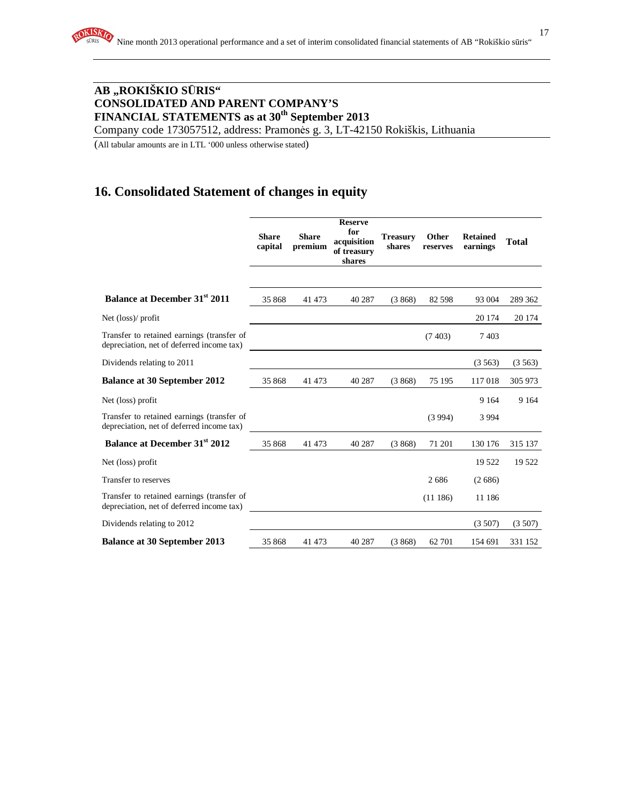Company code 173057512, address: Pramonės g. 3, LT-42150 Rokiškis, Lithuania

(All tabular amounts are in LTL '000 unless otherwise stated)

# **16. Consolidated Statement of changes in equity**

|                                                                                         | <b>Share</b><br>capital | <b>Share</b><br>premium | <b>Reserve</b><br>for<br>acquisition<br>of treasury<br>shares | <b>Treasury</b><br>shares | Other<br>reserves | <b>Retained</b><br>earnings | <b>Total</b> |
|-----------------------------------------------------------------------------------------|-------------------------|-------------------------|---------------------------------------------------------------|---------------------------|-------------------|-----------------------------|--------------|
| <b>Balance at December 31st 2011</b>                                                    | 35 868                  | 41 473                  | 40 287                                                        | (3868)                    | 82 5 98           | 93 004                      | 289 362      |
| Net (loss)/ profit                                                                      |                         |                         |                                                               |                           |                   | 20 174                      | 20 174       |
| Transfer to retained earnings (transfer of<br>depreciation, net of deferred income tax) |                         |                         |                                                               |                           | (7403)            | 7403                        |              |
| Dividends relating to 2011                                                              |                         |                         |                                                               |                           |                   | (3563)                      | (3563)       |
| <b>Balance at 30 September 2012</b>                                                     | 35 868                  | 41 473                  | 40 287                                                        | (3868)                    | 75 195            | 117018                      | 305 973      |
| Net (loss) profit                                                                       |                         |                         |                                                               |                           |                   | 9 1 6 4                     | 9 1 6 4      |
| Transfer to retained earnings (transfer of<br>depreciation, net of deferred income tax) |                         |                         |                                                               |                           | (3994)            | 3 9 9 4                     |              |
| <b>Balance at December 31st 2012</b>                                                    | 35 868                  | 41 473                  | 40 287                                                        | (3868)                    | 71 201            | 130 176                     | 315 137      |
| Net (loss) profit                                                                       |                         |                         |                                                               |                           |                   | 19 5 22                     | 19 522       |
| Transfer to reserves                                                                    |                         |                         |                                                               |                           | 2686              | (2686)                      |              |
| Transfer to retained earnings (transfer of<br>depreciation, net of deferred income tax) |                         |                         |                                                               |                           | (11186)           | 11 186                      |              |
| Dividends relating to 2012                                                              |                         |                         |                                                               |                           |                   | (3507)                      | (3507)       |
| <b>Balance at 30 September 2013</b>                                                     | 35868                   | 41 473                  | 40 287                                                        | (3868)                    | 62 701            | 154 691                     | 331 152      |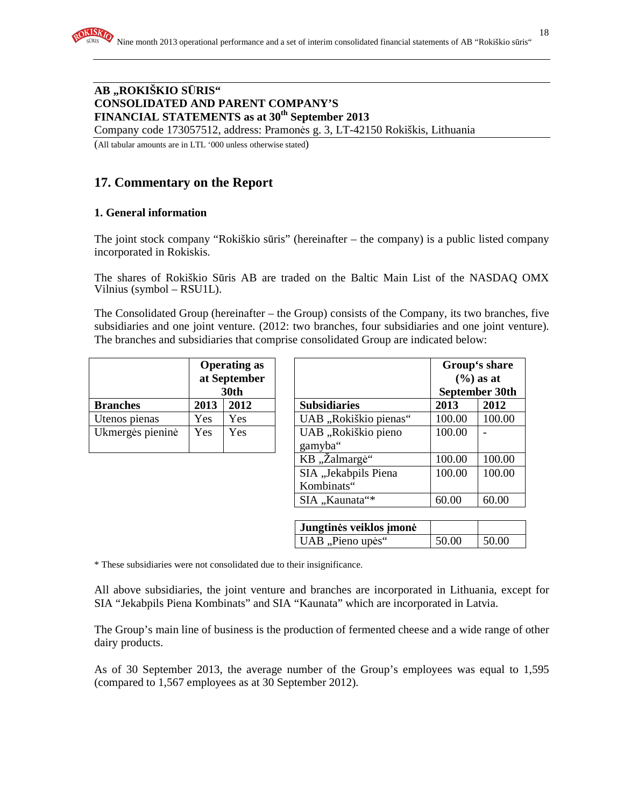Company code 173057512, address: Pramonės g. 3, LT-42150 Rokiškis, Lithuania

(All tabular amounts are in LTL '000 unless otherwise stated)

# **17. Commentary on the Report**

### **1. General information**

The joint stock company "Rokiškio sūris" (hereinafter – the company) is a public listed company incorporated in Rokiskis.

The shares of Rokiškio Sūris AB are traded on the Baltic Main List of the NASDAQ OMX Vilnius (symbol – RSU1L).

The Consolidated Group (hereinafter – the Group) consists of the Company, its two branches, five subsidiaries and one joint venture. (2012: two branches, four subsidiaries and one joint venture). The branches and subsidiaries that comprise consolidated Group are indicated below:

|                  | <b>Operating as</b><br>at September<br>30th |      |                      |
|------------------|---------------------------------------------|------|----------------------|
| <b>Branches</b>  | 2013                                        | 2012 | <b>Subsidiaries</b>  |
| Utenos pienas    | Yes                                         | Yes  | UAB "Rokiškio pienas |
| Ukmergės pieninė | Yes                                         | Yes  | UAB "Rokiškio pieno  |
|                  |                                             |      | gamyba"              |

|                  |      | <b>Operating as</b><br>at September<br>30th |                                    |        | Group's share<br>$(\frac{6}{6})$ as at<br>September 30th |
|------------------|------|---------------------------------------------|------------------------------------|--------|----------------------------------------------------------|
| <b>Branches</b>  | 2013 | 2012                                        | <b>Subsidiaries</b>                | 2013   | 2012                                                     |
| Utenos pienas    | Yes  | Yes                                         | UAB "Rokiškio pienas"              | 100.00 | 100.00                                                   |
| Ukmergės pieninė | Yes  | Yes                                         | UAB "Rokiškio pieno<br>gamyba"     | 100.00 |                                                          |
|                  |      |                                             | KB "Žalmargė"                      | 100.00 | 100.00                                                   |
|                  |      |                                             | SIA "Jekabpils Piena<br>Kombinats" | 100.00 | 100.00                                                   |
|                  |      |                                             | SIA "Kaunata"*                     | 60.00  | 60.00                                                    |

| Jungtinės veiklos įmonė |       |       |
|-------------------------|-------|-------|
| UAB "Pieno upės"        | 50.00 | 50.00 |

\* These subsidiaries were not consolidated due to their insignificance.

All above subsidiaries, the joint venture and branches are incorporated in Lithuania, except for SIA "Jekabpils Piena Kombinats" and SIA "Kaunata" which are incorporated in Latvia.

The Group's main line of business is the production of fermented cheese and a wide range of other dairy products.

As of 30 September 2013, the average number of the Group's employees was equal to 1,595 (compared to 1,567 employees as at 30 September 2012).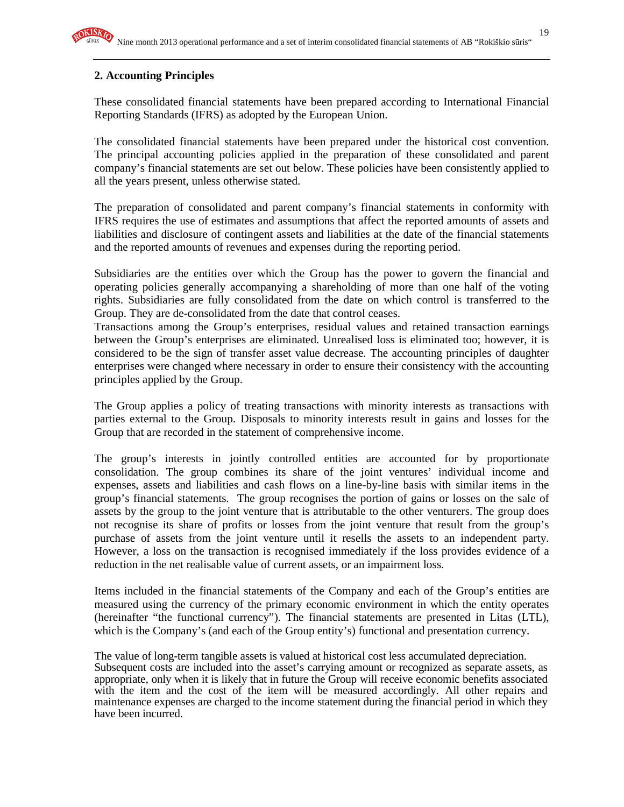## **2. Accounting Principles**

These consolidated financial statements have been prepared according to International Financial Reporting Standards (IFRS) as adopted by the European Union.

The consolidated financial statements have been prepared under the historical cost convention. The principal accounting policies applied in the preparation of these consolidated and parent company's financial statements are set out below. These policies have been consistently applied to all the years present, unless otherwise stated.

The preparation of consolidated and parent company's financial statements in conformity with IFRS requires the use of estimates and assumptions that affect the reported amounts of assets and liabilities and disclosure of contingent assets and liabilities at the date of the financial statements and the reported amounts of revenues and expenses during the reporting period.

Subsidiaries are the entities over which the Group has the power to govern the financial and operating policies generally accompanying a shareholding of more than one half of the voting rights. Subsidiaries are fully consolidated from the date on which control is transferred to the Group. They are de-consolidated from the date that control ceases.

Transactions among the Group's enterprises, residual values and retained transaction earnings between the Group's enterprises are eliminated. Unrealised loss is eliminated too; however, it is considered to be the sign of transfer asset value decrease. The accounting principles of daughter enterprises were changed where necessary in order to ensure their consistency with the accounting principles applied by the Group.

The Group applies a policy of treating transactions with minority interests as transactions with parties external to the Group. Disposals to minority interests result in gains and losses for the Group that are recorded in the statement of comprehensive income.

The group's interests in jointly controlled entities are accounted for by proportionate consolidation. The group combines its share of the joint ventures' individual income and expenses, assets and liabilities and cash flows on a line-by-line basis with similar items in the group's financial statements. The group recognises the portion of gains or losses on the sale of assets by the group to the joint venture that is attributable to the other venturers. The group does not recognise its share of profits or losses from the joint venture that result from the group's purchase of assets from the joint venture until it resells the assets to an independent party. However, a loss on the transaction is recognised immediately if the loss provides evidence of a reduction in the net realisable value of current assets, or an impairment loss.

Items included in the financial statements of the Company and each of the Group's entities are measured using the currency of the primary economic environment in which the entity operates (hereinafter "the functional currency"). The financial statements are presented in Litas (LTL), which is the Company's (and each of the Group entity's) functional and presentation currency.

The value of long-term tangible assets is valued at historical cost less accumulated depreciation. Subsequent costs are included into the asset's carrying amount or recognized as separate assets, as appropriate, only when it is likely that in future the Group will receive economic benefits associated with the item and the cost of the item will be measured accordingly. All other repairs and maintenance expenses are charged to the income statement during the financial period in which they have been incurred.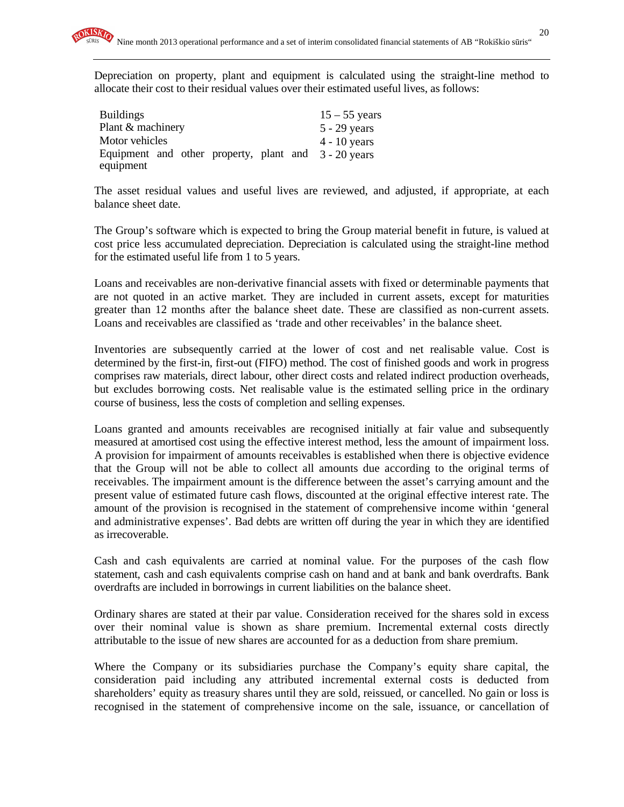Depreciation on property, plant and equipment is calculated using the straight-line method to allocate their cost to their residual values over their estimated useful lives, as follows:

| <b>Buildings</b>                                     | $15 - 55$ years |
|------------------------------------------------------|-----------------|
| Plant & machinery                                    | $5 - 29$ years  |
| Motor vehicles                                       | $4 - 10$ years  |
| Equipment and other property, plant and 3 - 20 years |                 |
| equipment                                            |                 |

The asset residual values and useful lives are reviewed, and adjusted, if appropriate, at each balance sheet date.

The Group's software which is expected to bring the Group material benefit in future, is valued at cost price less accumulated depreciation. Depreciation is calculated using the straight-line method for the estimated useful life from 1 to 5 years.

Loans and receivables are non-derivative financial assets with fixed or determinable payments that are not quoted in an active market. They are included in current assets, except for maturities greater than 12 months after the balance sheet date. These are classified as non-current assets. Loans and receivables are classified as 'trade and other receivables' in the balance sheet.

Inventories are subsequently carried at the lower of cost and net realisable value. Cost is determined by the first-in, first-out (FIFO) method. The cost of finished goods and work in progress comprises raw materials, direct labour, other direct costs and related indirect production overheads, but excludes borrowing costs. Net realisable value is the estimated selling price in the ordinary course of business, less the costs of completion and selling expenses.

Loans granted and amounts receivables are recognised initially at fair value and subsequently measured at amortised cost using the effective interest method, less the amount of impairment loss. A provision for impairment of amounts receivables is established when there is objective evidence that the Group will not be able to collect all amounts due according to the original terms of receivables. The impairment amount is the difference between the asset's carrying amount and the present value of estimated future cash flows, discounted at the original effective interest rate. The amount of the provision is recognised in the statement of comprehensive income within 'general and administrative expenses'. Bad debts are written off during the year in which they are identified as irrecoverable.

Cash and cash equivalents are carried at nominal value. For the purposes of the cash flow statement, cash and cash equivalents comprise cash on hand and at bank and bank overdrafts. Bank overdrafts are included in borrowings in current liabilities on the balance sheet.

Ordinary shares are stated at their par value. Consideration received for the shares sold in excess over their nominal value is shown as share premium. Incremental external costs directly attributable to the issue of new shares are accounted for as a deduction from share premium.

Where the Company or its subsidiaries purchase the Company's equity share capital, the consideration paid including any attributed incremental external costs is deducted from shareholders' equity as treasury shares until they are sold, reissued, or cancelled. No gain or loss is recognised in the statement of comprehensive income on the sale, issuance, or cancellation of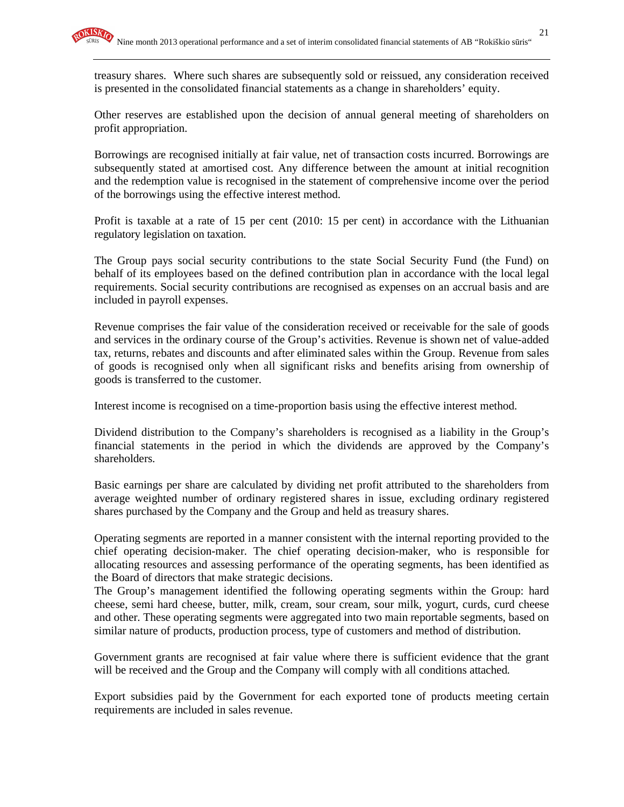treasury shares. Where such shares are subsequently sold or reissued, any consideration received is presented in the consolidated financial statements as a change in shareholders' equity.

Other reserves are established upon the decision of annual general meeting of shareholders on profit appropriation.

Borrowings are recognised initially at fair value, net of transaction costs incurred. Borrowings are subsequently stated at amortised cost. Any difference between the amount at initial recognition and the redemption value is recognised in the statement of comprehensive income over the period of the borrowings using the effective interest method.

Profit is taxable at a rate of 15 per cent (2010: 15 per cent) in accordance with the Lithuanian regulatory legislation on taxation.

The Group pays social security contributions to the state Social Security Fund (the Fund) on behalf of its employees based on the defined contribution plan in accordance with the local legal requirements. Social security contributions are recognised as expenses on an accrual basis and are included in payroll expenses.

Revenue comprises the fair value of the consideration received or receivable for the sale of goods and services in the ordinary course of the Group's activities. Revenue is shown net of value-added tax, returns, rebates and discounts and after eliminated sales within the Group. Revenue from sales of goods is recognised only when all significant risks and benefits arising from ownership of goods is transferred to the customer.

Interest income is recognised on a time-proportion basis using the effective interest method.

Dividend distribution to the Company's shareholders is recognised as a liability in the Group's financial statements in the period in which the dividends are approved by the Company's shareholders.

Basic earnings per share are calculated by dividing net profit attributed to the shareholders from average weighted number of ordinary registered shares in issue, excluding ordinary registered shares purchased by the Company and the Group and held as treasury shares.

Operating segments are reported in a manner consistent with the internal reporting provided to the chief operating decision-maker. The chief operating decision-maker, who is responsible for allocating resources and assessing performance of the operating segments, has been identified as the Board of directors that make strategic decisions.

The Group's management identified the following operating segments within the Group: hard cheese, semi hard cheese, butter, milk, cream, sour cream, sour milk, yogurt, curds, curd cheese and other. These operating segments were aggregated into two main reportable segments, based on similar nature of products, production process, type of customers and method of distribution.

Government grants are recognised at fair value where there is sufficient evidence that the grant will be received and the Group and the Company will comply with all conditions attached.

Export subsidies paid by the Government for each exported tone of products meeting certain requirements are included in sales revenue.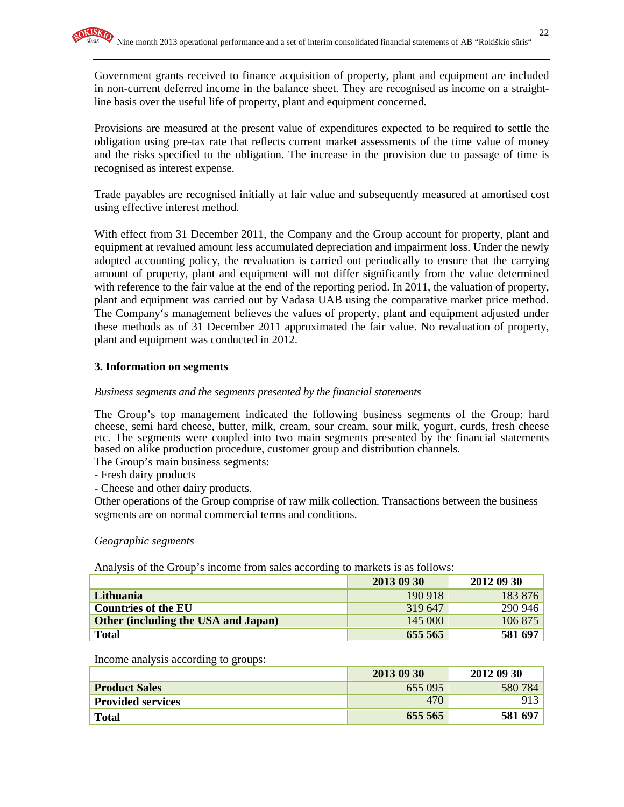Government grants received to finance acquisition of property, plant and equipment are included in non-current deferred income in the balance sheet. They are recognised as income on a straightline basis over the useful life of property, plant and equipment concerned.

Provisions are measured at the present value of expenditures expected to be required to settle the obligation using pre-tax rate that reflects current market assessments of the time value of money and the risks specified to the obligation. The increase in the provision due to passage of time is recognised as interest expense.

Trade payables are recognised initially at fair value and subsequently measured at amortised cost using effective interest method.

With effect from 31 December 2011, the Company and the Group account for property, plant and equipment at revalued amount less accumulated depreciation and impairment loss. Under the newly adopted accounting policy, the revaluation is carried out periodically to ensure that the carrying amount of property, plant and equipment will not differ significantly from the value determined with reference to the fair value at the end of the reporting period. In 2011, the valuation of property, plant and equipment was carried out by Vadasa UAB using the comparative market price method. The Company's management believes the values of property, plant and equipment adjusted under these methods as of 31 December 2011 approximated the fair value. No revaluation of property, plant and equipment was conducted in 2012.

### **3. Information on segments**

#### *Business segments and the segments presented by the financial statements*

The Group's top management indicated the following business segments of the Group: hard cheese, semi hard cheese, butter, milk, cream, sour cream, sour milk, yogurt, curds, fresh cheese etc. The segments were coupled into two main segments presented by the financial statements based on alike production procedure, customer group and distribution channels.

The Group's main business segments:

- Fresh dairy products

- Cheese and other dairy products.

Other operations of the Group comprise of raw milk collection. Transactions between the business segments are on normal commercial terms and conditions.

*Geographic segments* 

Analysis of the Group's income from sales according to markets is as follows:

|                                     | 2013 09 30 | 2012 09 30 |
|-------------------------------------|------------|------------|
| Lithuania                           | 190 918    | 183 876    |
| <b>Countries of the EU</b>          | 319 647    | 290 946    |
| Other (including the USA and Japan) | 145 000    | 106 875    |
| <b>Total</b>                        | 655 565    | 581 697    |

Income analysis according to groups:

|                          | 2013 09 30 | 2012 09 30 |
|--------------------------|------------|------------|
| <b>Product Sales</b>     | 655 095    | 580 784    |
| <b>Provided services</b> | 470        |            |
| <b>Total</b>             | 655 565    | 581 697    |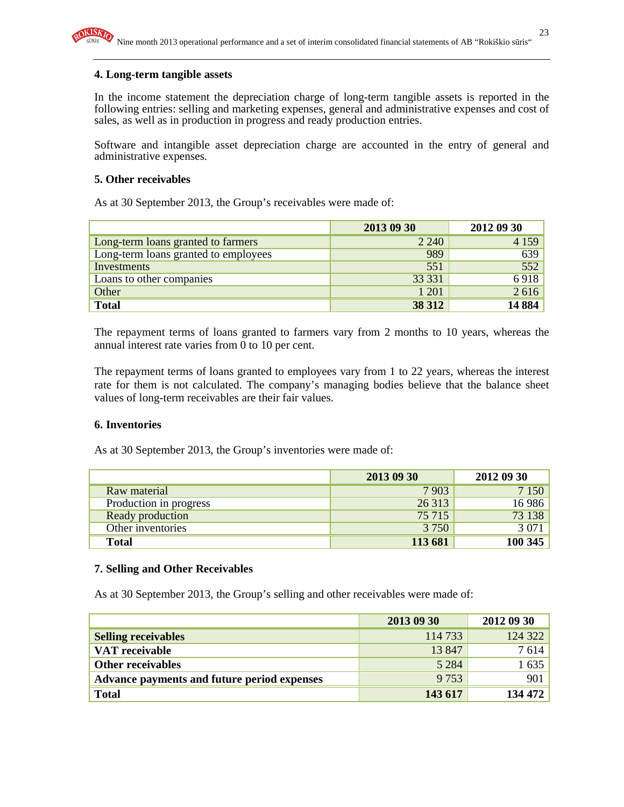#### **4. Long-term tangible assets**

In the income statement the depreciation charge of long-term tangible assets is reported in the following entries: selling and marketing expenses, general and administrative expenses and cost of sales, as well as in production in progress and ready production entries.

Software and intangible asset depreciation charge are accounted in the entry of general and administrative expenses.

#### **5. Other receivables**

As at 30 September 2013, the Group's receivables were made of:

|                                      | 2013 09 30 | 2012 09 30 |
|--------------------------------------|------------|------------|
| Long-term loans granted to farmers   | 2 2 4 0    | 4 1 5 9    |
| Long-term loans granted to employees | 989        | 639        |
| Investments                          | 551        | 552        |
| Loans to other companies             | 33 331     | 6918       |
| Other                                | 1 201      | 2616       |
| <b>Total</b>                         | 38 312     | 14 8 84    |

The repayment terms of loans granted to farmers vary from 2 months to 10 years, whereas the annual interest rate varies from 0 to 10 per cent.

The repayment terms of loans granted to employees vary from 1 to 22 years, whereas the interest rate for them is not calculated. The company's managing bodies believe that the balance sheet values of long-term receivables are their fair values.

#### **6. Inventories**

As at 30 September 2013, the Group's inventories were made of:

|                        | 2013 09 30 | 2012 09 30 |
|------------------------|------------|------------|
| Raw material           | 7903       | 7 1 5 0    |
| Production in progress | 26 313     | 16 9 86    |
| Ready production       | 75 715     | 73 138     |
| Other inventories      | 3 7 5 0    | 3 0 7 1    |
| <b>Total</b>           | 113 681    | 100 345    |

#### **7. Selling and Other Receivables**

As at 30 September 2013, the Group's selling and other receivables were made of:

|                                             | 2013 09 30 | 2012 09 30 |
|---------------------------------------------|------------|------------|
| <b>Selling receivables</b>                  | 114 733    | 124 322    |
| <b>VAT</b> receivable                       | 13 847     | 7614       |
| <b>Other receivables</b>                    | 5 2 8 4    | 1 635      |
| Advance payments and future period expenses | 9 7 5 3    | 901        |
| <b>Total</b>                                | 143 617    | 134 472    |